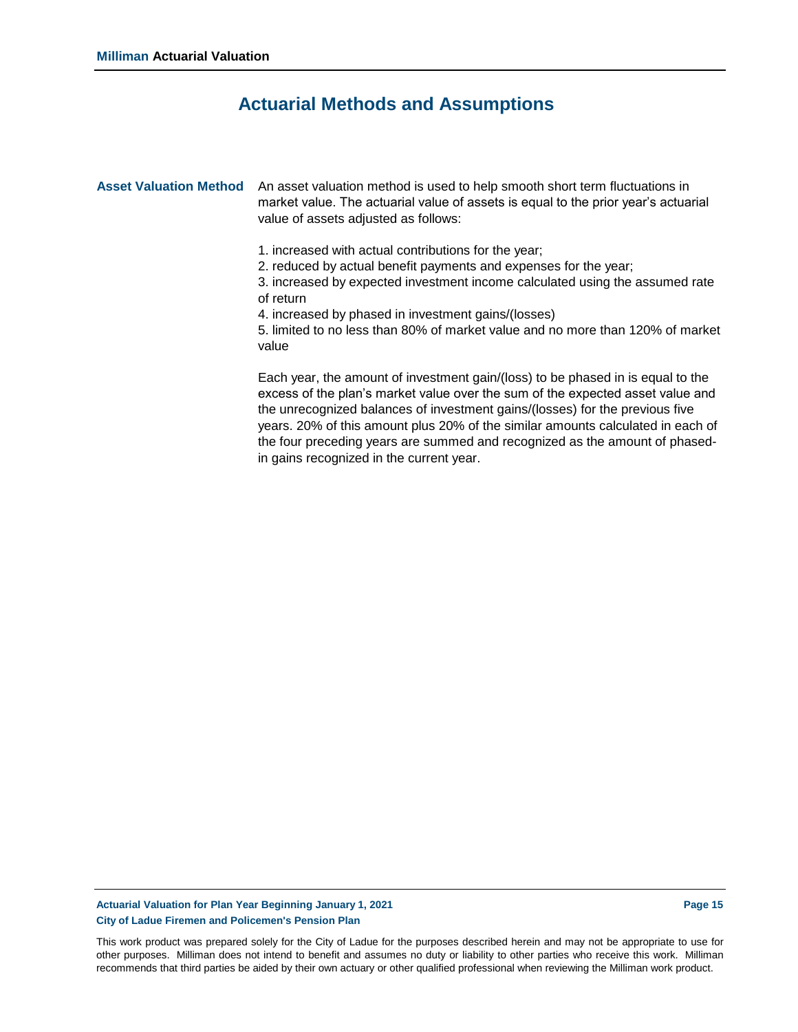### **Actuarial Methods and Assumptions**

Asset Valuation Method An asset valuation method is used to help smooth short term fluctuations in market value. The actuarial value of assets is equal to the prior year's actuarial value of assets adjusted as follows:

- 1. increased with actual contributions for the year;
- 2. reduced by actual benefit payments and expenses for the year;

3. increased by expected investment income calculated using the assumed rate of return

4. increased by phased in investment gains/(losses)

5. limited to no less than 80% of market value and no more than 120% of market value

Each year, the amount of investment gain/(loss) to be phased in is equal to the excess of the plan's market value over the sum of the expected asset value and the unrecognized balances of investment gains/(losses) for the previous five years. 20% of this amount plus 20% of the similar amounts calculated in each of the four preceding years are summed and recognized as the amount of phasedin gains recognized in the current year.

#### **Actuarial Valuation for Plan Year Beginning January 1, 2021 Page 15 City of Ladue Firemen and Policemen's Pension Plan**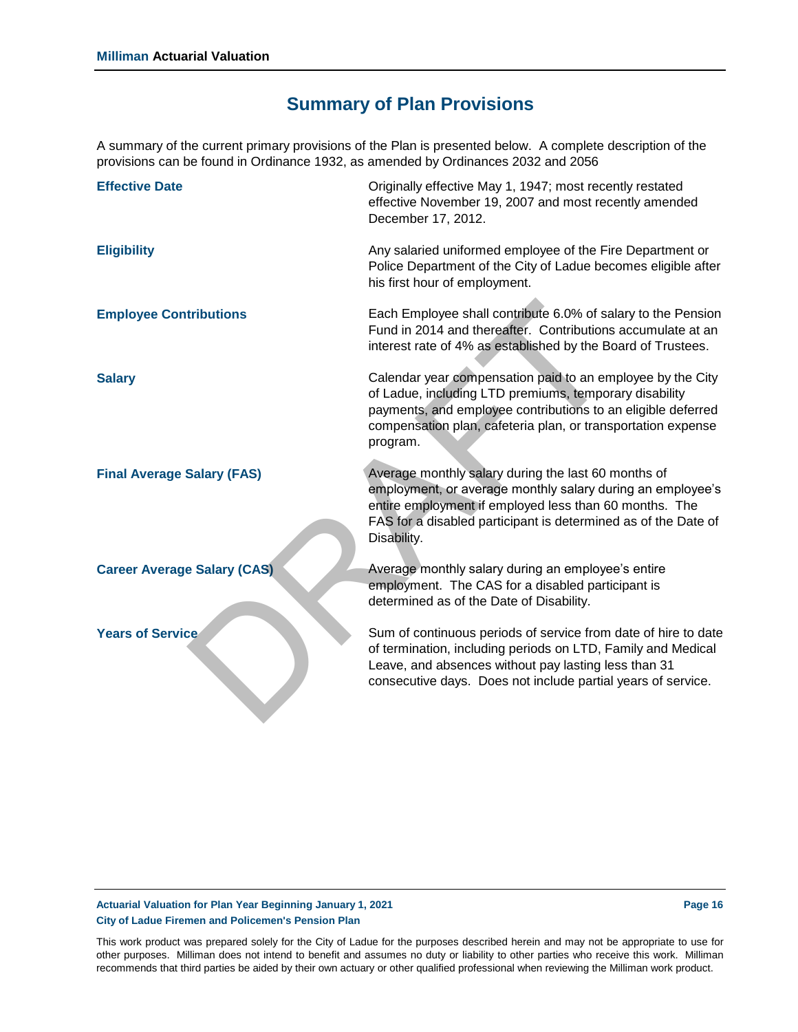## **Summary of Plan Provisions**

A summary of the current primary provisions of the Plan is presented below. A complete description of the provisions can be found in Ordinance 1932, as amended by Ordinances 2032 and 2056

| <b>Effective Date</b>              | Originally effective May 1, 1947; most recently restated<br>effective November 19, 2007 and most recently amended<br>December 17, 2012.                                                                                                                          |
|------------------------------------|------------------------------------------------------------------------------------------------------------------------------------------------------------------------------------------------------------------------------------------------------------------|
| <b>Eligibility</b>                 | Any salaried uniformed employee of the Fire Department or<br>Police Department of the City of Ladue becomes eligible after<br>his first hour of employment.                                                                                                      |
| <b>Employee Contributions</b>      | Each Employee shall contribute 6.0% of salary to the Pension<br>Fund in 2014 and thereafter. Contributions accumulate at an<br>interest rate of 4% as established by the Board of Trustees.                                                                      |
| <b>Salary</b>                      | Calendar year compensation paid to an employee by the City<br>of Ladue, including LTD premiums, temporary disability<br>payments, and employee contributions to an eligible deferred<br>compensation plan, cafeteria plan, or transportation expense<br>program. |
| <b>Final Average Salary (FAS)</b>  | Average monthly salary during the last 60 months of<br>employment, or average monthly salary during an employee's<br>entire employment if employed less than 60 months. The<br>FAS for a disabled participant is determined as of the Date of<br>Disability.     |
| <b>Career Average Salary (CAS)</b> | Average monthly salary during an employee's entire<br>employment. The CAS for a disabled participant is<br>determined as of the Date of Disability.                                                                                                              |
| <b>Years of Service</b>            | Sum of continuous periods of service from date of hire to date<br>of termination, including periods on LTD, Family and Medical<br>Leave, and absences without pay lasting less than 31<br>consecutive days. Does not include partial years of service.           |

#### **Actuarial Valuation for Plan Year Beginning January 1, 2021 Page 16 City of Ladue Firemen and Policemen's Pension Plan**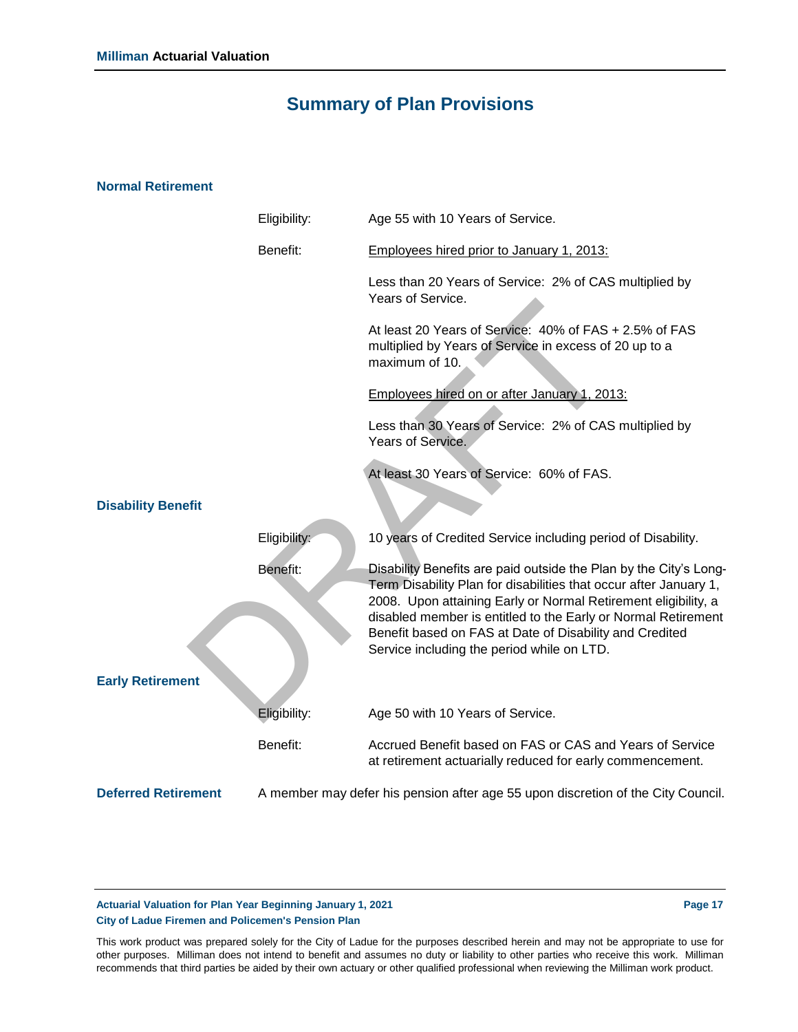### **Summary of Plan Provisions**

### **Normal Retirement**

|                            | Eligibility: | Age 55 with 10 Years of Service.                                                                                                                                                                                                                                                                                                                                                   |
|----------------------------|--------------|------------------------------------------------------------------------------------------------------------------------------------------------------------------------------------------------------------------------------------------------------------------------------------------------------------------------------------------------------------------------------------|
|                            | Benefit:     | Employees hired prior to January 1, 2013:                                                                                                                                                                                                                                                                                                                                          |
|                            |              | Less than 20 Years of Service: 2% of CAS multiplied by<br>Years of Service.                                                                                                                                                                                                                                                                                                        |
|                            |              | At least 20 Years of Service: 40% of FAS + 2.5% of FAS<br>multiplied by Years of Service in excess of 20 up to a<br>maximum of 10.                                                                                                                                                                                                                                                 |
|                            |              | Employees hired on or after January 1, 2013:                                                                                                                                                                                                                                                                                                                                       |
|                            |              | Less than 30 Years of Service: 2% of CAS multiplied by<br>Years of Service.                                                                                                                                                                                                                                                                                                        |
|                            |              | At least 30 Years of Service: 60% of FAS.                                                                                                                                                                                                                                                                                                                                          |
| <b>Disability Benefit</b>  |              |                                                                                                                                                                                                                                                                                                                                                                                    |
|                            | Eligibility: | 10 years of Credited Service including period of Disability.                                                                                                                                                                                                                                                                                                                       |
|                            | Benefit:     | Disability Benefits are paid outside the Plan by the City's Long-<br>Term Disability Plan for disabilities that occur after January 1,<br>2008. Upon attaining Early or Normal Retirement eligibility, a<br>disabled member is entitled to the Early or Normal Retirement<br>Benefit based on FAS at Date of Disability and Credited<br>Service including the period while on LTD. |
| <b>Early Retirement</b>    |              |                                                                                                                                                                                                                                                                                                                                                                                    |
|                            | Eligibility: | Age 50 with 10 Years of Service.                                                                                                                                                                                                                                                                                                                                                   |
|                            | Benefit:     | Accrued Benefit based on FAS or CAS and Years of Service<br>at retirement actuarially reduced for early commencement.                                                                                                                                                                                                                                                              |
| <b>Deferred Retirement</b> |              | A member may defer his pension after age 55 upon discretion of the City Council.                                                                                                                                                                                                                                                                                                   |
|                            |              |                                                                                                                                                                                                                                                                                                                                                                                    |

### **Actuarial Valuation for Plan Year Beginning January 1, 2021 Page 17 City of Ladue Firemen and Policemen's Pension Plan**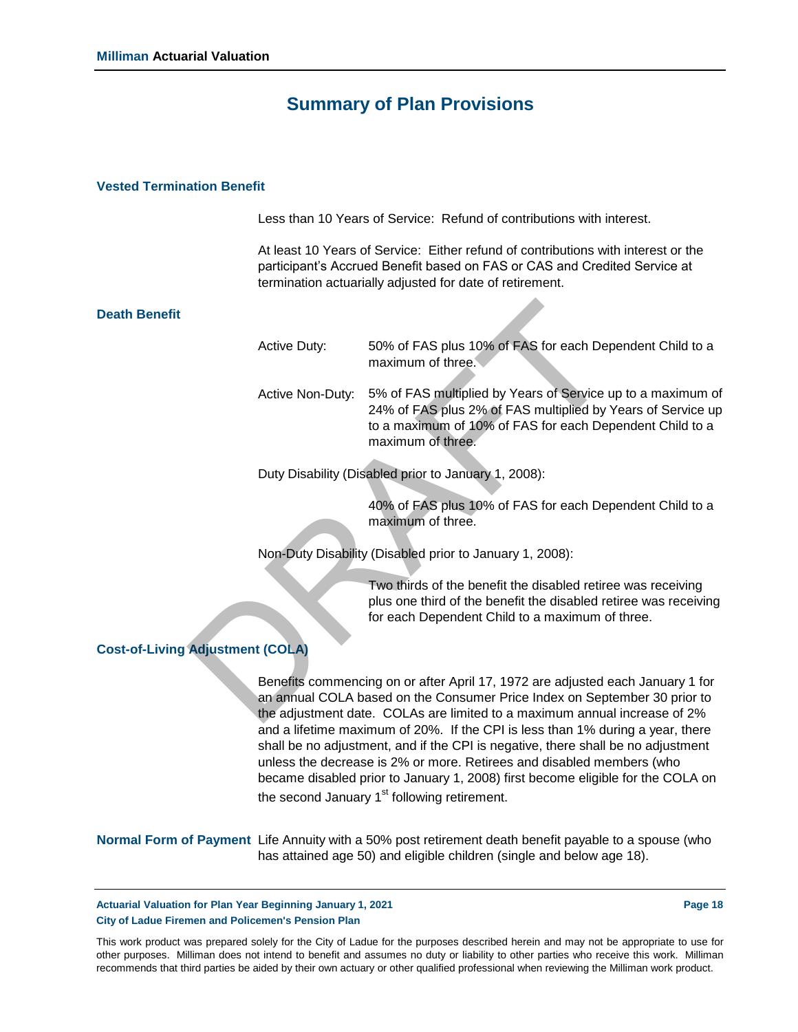### **Summary of Plan Provisions**

#### **Vested Termination Benefit**

Less than 10 Years of Service: Refund of contributions with interest.

At least 10 Years of Service: Either refund of contributions with interest or the participant's Accrued Benefit based on FAS or CAS and Credited Service at termination actuarially adjusted for date of retirement.

#### **Death Benefit**

|                          | <b>Active Duty:</b>                                                                                                                                                                                                                      | 50% of FAS plus 10% of FAS for each Dependent Child to a<br>maximum of three.                                                                                                                               |  |  |  |  |
|--------------------------|------------------------------------------------------------------------------------------------------------------------------------------------------------------------------------------------------------------------------------------|-------------------------------------------------------------------------------------------------------------------------------------------------------------------------------------------------------------|--|--|--|--|
|                          | Active Non-Duty:                                                                                                                                                                                                                         | 5% of FAS multiplied by Years of Service up to a maximum of<br>24% of FAS plus 2% of FAS multiplied by Years of Service up<br>to a maximum of 10% of FAS for each Dependent Child to a<br>maximum of three. |  |  |  |  |
|                          |                                                                                                                                                                                                                                          | Duty Disability (Disabled prior to January 1, 2008):                                                                                                                                                        |  |  |  |  |
|                          |                                                                                                                                                                                                                                          | 40% of FAS plus 10% of FAS for each Dependent Child to a<br>maximum of three.                                                                                                                               |  |  |  |  |
|                          |                                                                                                                                                                                                                                          | Non-Duty Disability (Disabled prior to January 1, 2008):                                                                                                                                                    |  |  |  |  |
|                          |                                                                                                                                                                                                                                          | Two thirds of the benefit the disabled retiree was receiving<br>plus one third of the benefit the disabled retiree was receiving<br>for each Dependent Child to a maximum of three.                         |  |  |  |  |
| <b>Adjustment (COLA)</b> |                                                                                                                                                                                                                                          |                                                                                                                                                                                                             |  |  |  |  |
|                          | Benefits commencing on or after April 17, 1972 are adjusted each January 1 for<br>an annual COLA based on the Consumer Price Index on September 30 prior to<br>the adjustment date. COLAs are limited to a maximum annual increase of 2% |                                                                                                                                                                                                             |  |  |  |  |

#### **Cost-of-Living Adjustment (COLA)**

Benefits commencing on or after April 17, 1972 are adjusted each January 1 for an annual COLA based on the Consumer Price Index on September 30 prior to the adjustment date. COLAs are limited to a maximum annual increase of 2% and a lifetime maximum of 20%. If the CPI is less than 1% during a year, there shall be no adjustment, and if the CPI is negative, there shall be no adjustment unless the decrease is 2% or more. Retirees and disabled members (who became disabled prior to January 1, 2008) first become eligible for the COLA on the second January  $1<sup>st</sup>$  following retirement.

| Normal Form of Payment Life Annuity with a 50% post retirement death benefit payable to a spouse (who |
|-------------------------------------------------------------------------------------------------------|
| has attained age 50) and eligible children (single and below age 18).                                 |

**Actuarial Valuation for Plan Year Beginning January 1, 2021 Page 18 City of Ladue Firemen and Policemen's Pension Plan**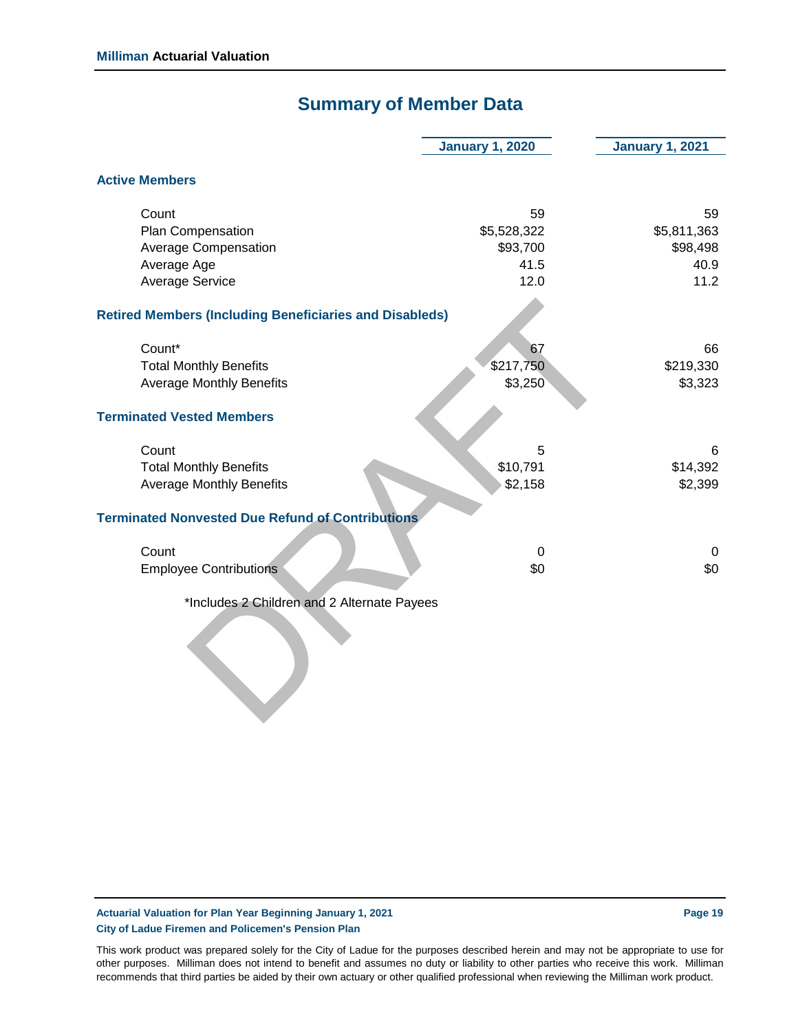### **Summary of Member Data**

|                                                                | <b>January 1, 2020</b> | <b>January 1, 2021</b> |
|----------------------------------------------------------------|------------------------|------------------------|
| <b>Active Members</b>                                          |                        |                        |
| Count                                                          | 59                     | 59                     |
| Plan Compensation                                              | \$5,528,322            | \$5,811,363            |
| <b>Average Compensation</b>                                    | \$93,700               | \$98,498               |
| Average Age                                                    | 41.5                   | 40.9                   |
| <b>Average Service</b>                                         | 12.0                   | 11.2                   |
| <b>Retired Members (Including Beneficiaries and Disableds)</b> |                        |                        |
| Count*                                                         | 67                     | 66                     |
| <b>Total Monthly Benefits</b>                                  | \$217,750              | \$219,330              |
| <b>Average Monthly Benefits</b>                                | \$3,250                | \$3,323                |
| <b>Terminated Vested Members</b>                               |                        |                        |
| Count                                                          | 5                      | 6                      |
| <b>Total Monthly Benefits</b>                                  | \$10,791               | \$14,392               |
| <b>Average Monthly Benefits</b>                                | \$2,158                | \$2,399                |
| <b>Terminated Nonvested Due Refund of Contributions</b>        |                        |                        |
| Count                                                          | $\mathbf 0$            | $\mathbf 0$            |
| <b>Employee Contributions</b>                                  | \$0                    | \$0                    |
| *Includes 2 Children and 2 Alternate Payees                    |                        |                        |
|                                                                |                        |                        |

**Actuarial Valuation for Plan Year Beginning January 1, 2021 Page 19 City of Ladue Firemen and Policemen's Pension Plan**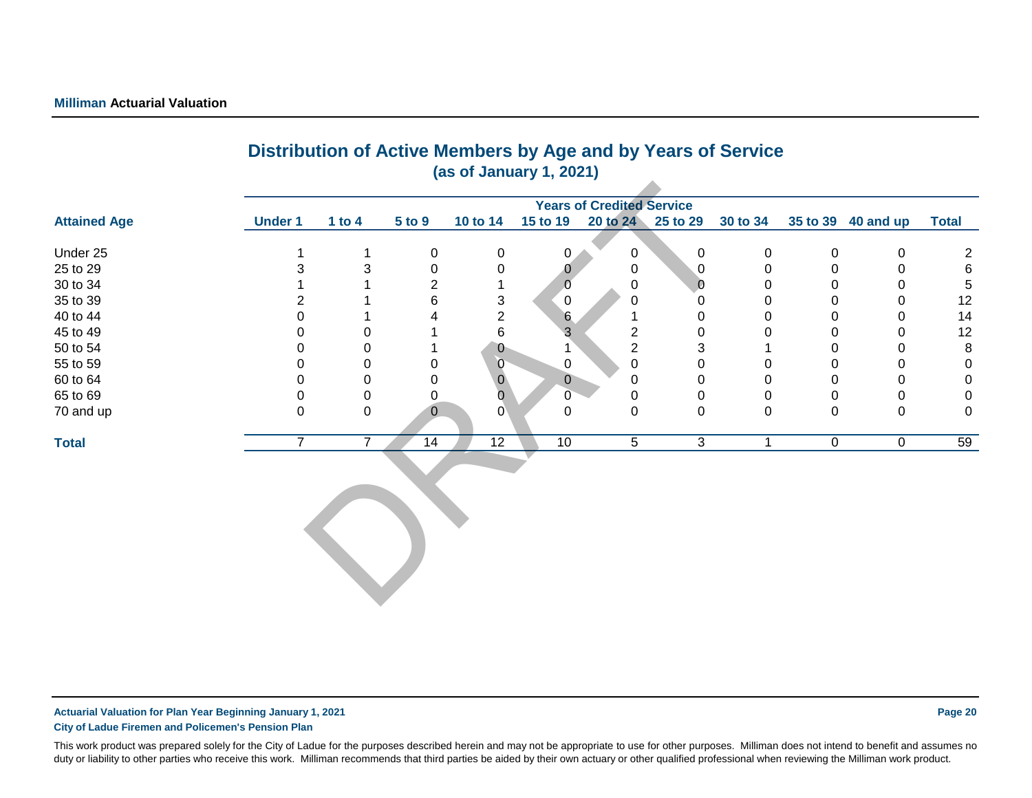|                                  |                | Distribution of Active Members by Age and by Years of Service<br>(as of January 1, 2021) |                |                |          |                                  |              |  |                                                                       |                |    |  |  |
|----------------------------------|----------------|------------------------------------------------------------------------------------------|----------------|----------------|----------|----------------------------------|--------------|--|-----------------------------------------------------------------------|----------------|----|--|--|
| <b>Attained Age</b>              | <b>Under 1</b> | 1 to 4                                                                                   | 5 to 9         |                |          | <b>Years of Credited Service</b> |              |  | 10 to 14 15 to 19 20 to 24 25 to 29 30 to 34 35 to 39 40 and up Total |                |    |  |  |
|                                  |                |                                                                                          |                |                |          |                                  |              |  |                                                                       |                |    |  |  |
| Under 25                         |                |                                                                                          |                |                |          |                                  |              |  |                                                                       |                |    |  |  |
|                                  |                |                                                                                          |                |                |          |                                  |              |  |                                                                       |                |    |  |  |
| 25 to 29<br>30 to 34             |                |                                                                                          |                |                |          |                                  |              |  |                                                                       |                |    |  |  |
|                                  |                |                                                                                          |                |                | -0       |                                  |              |  |                                                                       |                | 12 |  |  |
| 35 to 39<br>40 to 44             |                |                                                                                          |                |                |          |                                  |              |  |                                                                       |                | 14 |  |  |
| 45 to 49<br>50 to 54<br>55 to 59 |                |                                                                                          |                |                |          |                                  |              |  |                                                                       |                | 12 |  |  |
|                                  |                |                                                                                          |                | $\overline{0}$ |          |                                  |              |  |                                                                       |                |    |  |  |
|                                  |                |                                                                                          | $\overline{0}$ | $\theta$       |          |                                  |              |  |                                                                       |                |    |  |  |
| 60 to 64                         |                |                                                                                          |                |                |          |                                  |              |  |                                                                       |                |    |  |  |
| 65 to 69                         |                |                                                                                          |                |                |          |                                  |              |  |                                                                       |                |    |  |  |
| 70 and up                        |                |                                                                                          |                |                |          |                                  |              |  |                                                                       |                |    |  |  |
| <b>Total</b>                     |                | ⇁                                                                                        |                | 14             | 12<br>10 | 5                                | $\mathbf{3}$ |  | $\overline{0}$                                                        | $\overline{0}$ | 59 |  |  |
|                                  |                |                                                                                          |                |                |          |                                  |              |  |                                                                       |                |    |  |  |

# **Distribution of Active Members by Age and by Years of Service**

**Actuarial Valuation for Plan Year Beginning January 1, 2021 Page 20 City of Ladue Firemen and Policemen's Pension Plan**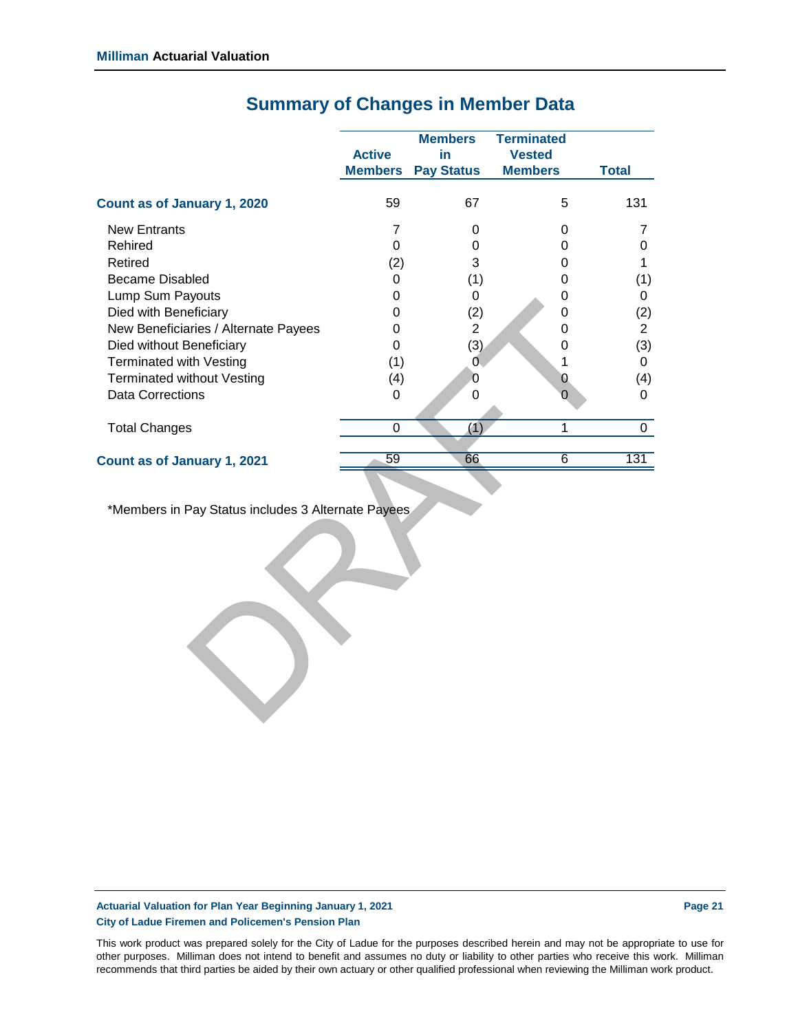| <b>Active</b><br><b>Members</b> | <b>Members</b><br>in<br><b>Pay Status</b> | <b>Terminated</b><br><b>Vested</b><br><b>Members</b> | <b>Total</b>   |
|---------------------------------|-------------------------------------------|------------------------------------------------------|----------------|
| 59                              | 67                                        | 5                                                    | 131            |
| 7                               | 0                                         | 0                                                    | 7              |
| $\mathbf 0$                     | 0                                         | 0                                                    | 0              |
| (2)                             | 3                                         | 0                                                    | 1              |
| 0                               | (1)                                       | 0                                                    | (1)            |
| 0                               | 0                                         | 0                                                    | 0              |
| 0                               | (2)                                       | 0                                                    | (2)            |
| $\boldsymbol{0}$                | $\overline{2}$                            | 0                                                    | $\overline{2}$ |
| $\overline{0}$                  | (3)                                       | 0                                                    | (3)            |
| (1)                             | 0                                         | 1                                                    | 0              |
| (4)                             | $\overline{0}$                            | $\overline{0}$                                       | (4)            |
| 0                               | $\mathbf 0$                               | $\Omega$                                             | 0              |
| $\mathsf 0$                     | (1)                                       | $\mathbf{1}$                                         | $\mathbf 0$    |
| $\overline{59}$                 | 66                                        | $\overline{6}$                                       | 131            |
|                                 |                                           |                                                      |                |
|                                 |                                           | *Members in Pay Status includes 3 Alternate Payees   |                |

### **Summary of Changes in Member Data**

**Actuarial Valuation for Plan Year Beginning January 1, 2021 Page 21 City of Ladue Firemen and Policemen's Pension Plan**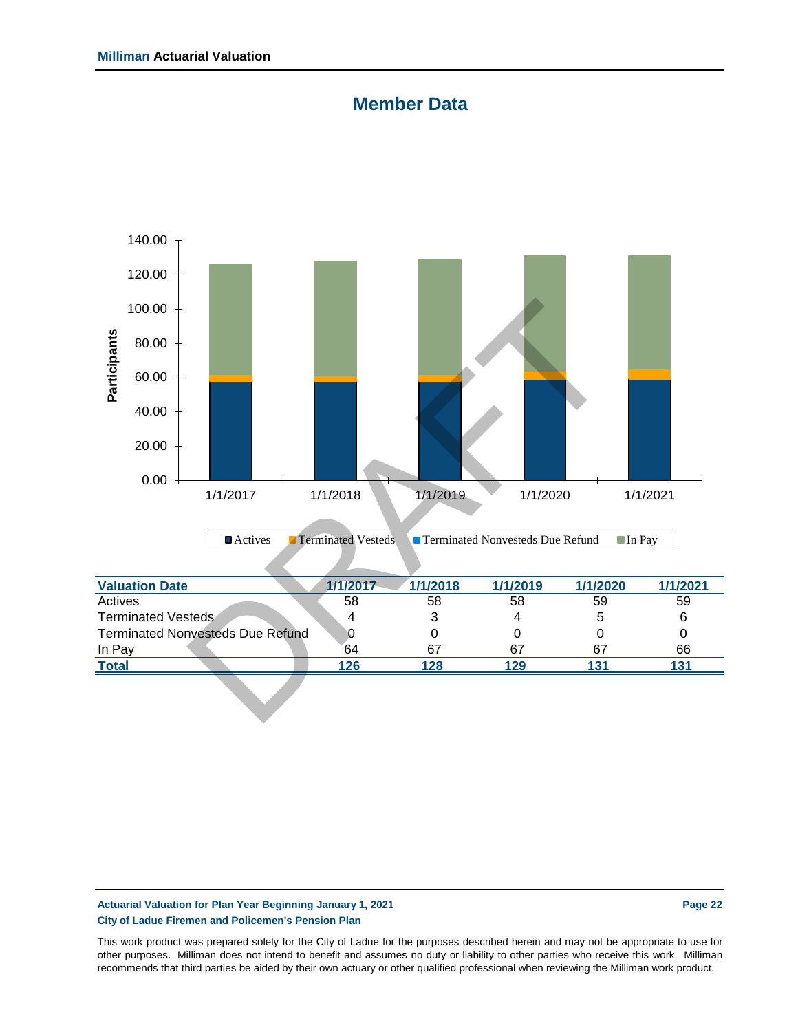### **Member Data**



| 1/1/2017                                | 1/1/2018 | 1/1/2019 | 1/1/2020 | 1/1/2021 |
|-----------------------------------------|----------|----------|----------|----------|
| 58                                      | 58       | 58       | 59       | 59       |
| 4                                       |          |          |          | 6        |
| <b>Terminated Nonvesteds Due Refund</b> |          |          |          |          |
| 64                                      | 67       | 67       | 67       | 66       |
| 126                                     | 128      | 129      | 1 21     |          |
|                                         |          |          |          |          |

### **Actuarial Valuation for Plan Year Beginning January 1, 2021 Page 22 City of Ladue Firemen and Policemen's Pension Plan**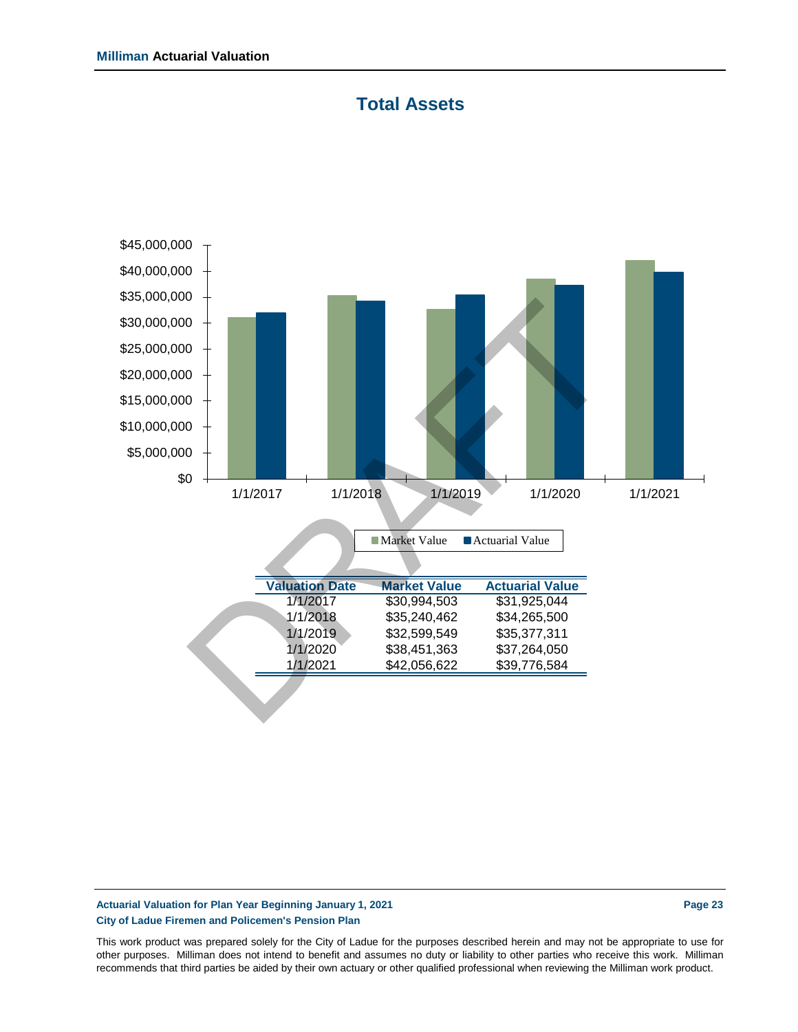



### **Actuarial Valuation for Plan Year Beginning January 1, 2021 Page 23 City of Ladue Firemen and Policemen's Pension Plan**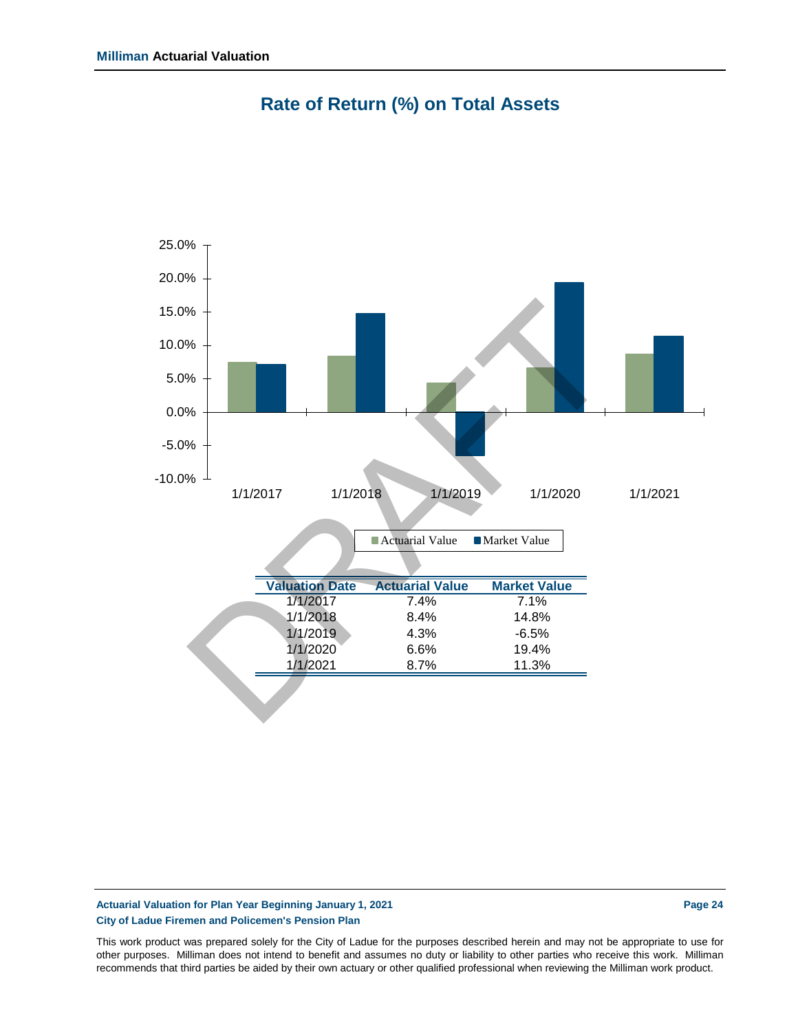

**Rate of Return (%) on Total Assets**

#### **Actuarial Valuation for Plan Year Beginning January 1, 2021 Page 24 City of Ladue Firemen and Policemen's Pension Plan**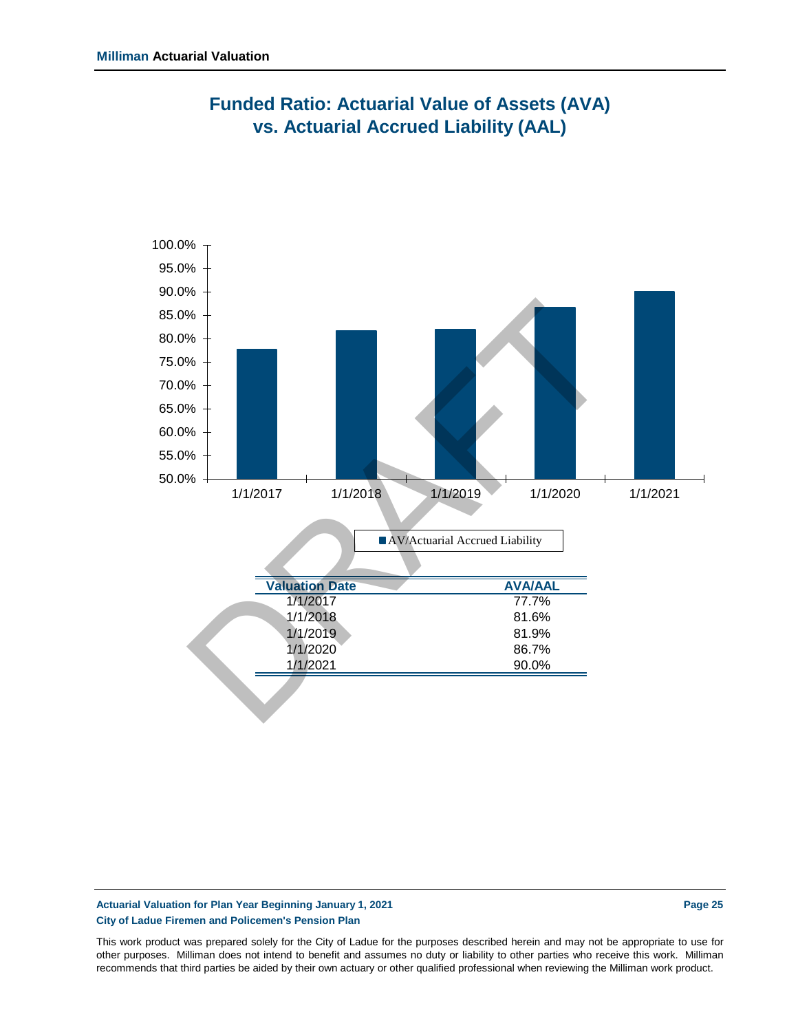

### **Funded Ratio: Actuarial Value of Assets (AVA) vs. Actuarial Accrued Liability (AAL)**

#### **Actuarial Valuation for Plan Year Beginning January 1, 2021 Page 25 City of Ladue Firemen and Policemen's Pension Plan**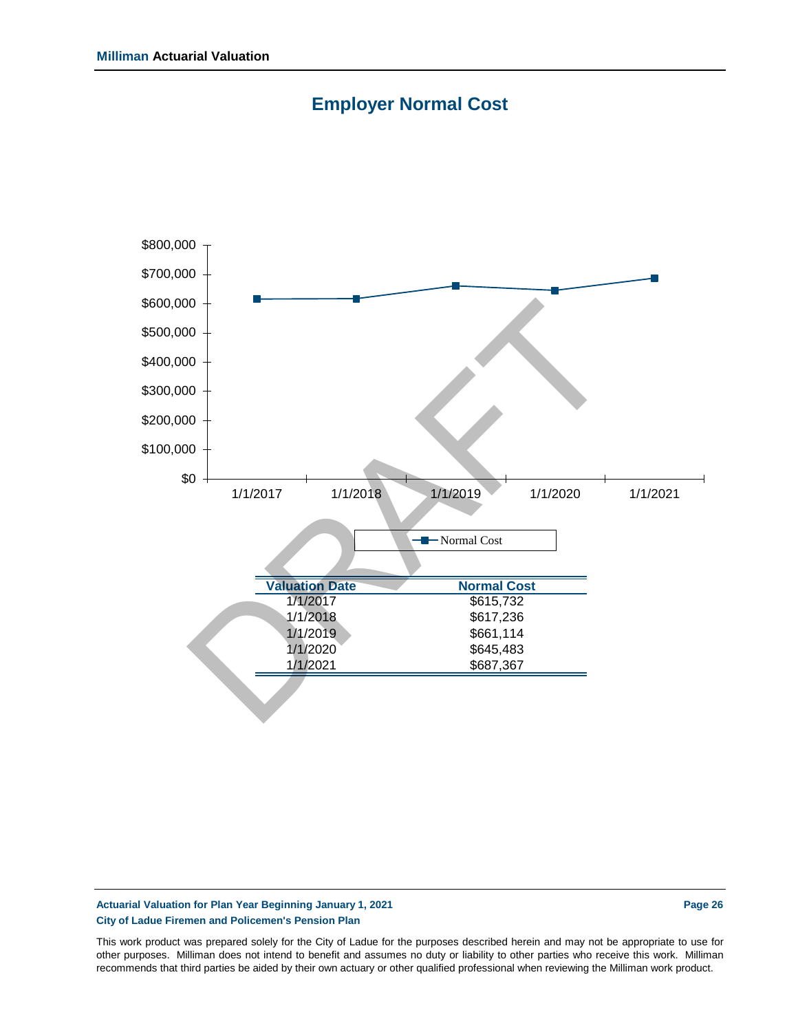



#### **Actuarial Valuation for Plan Year Beginning January 1, 2021 Page 26 City of Ladue Firemen and Policemen's Pension Plan**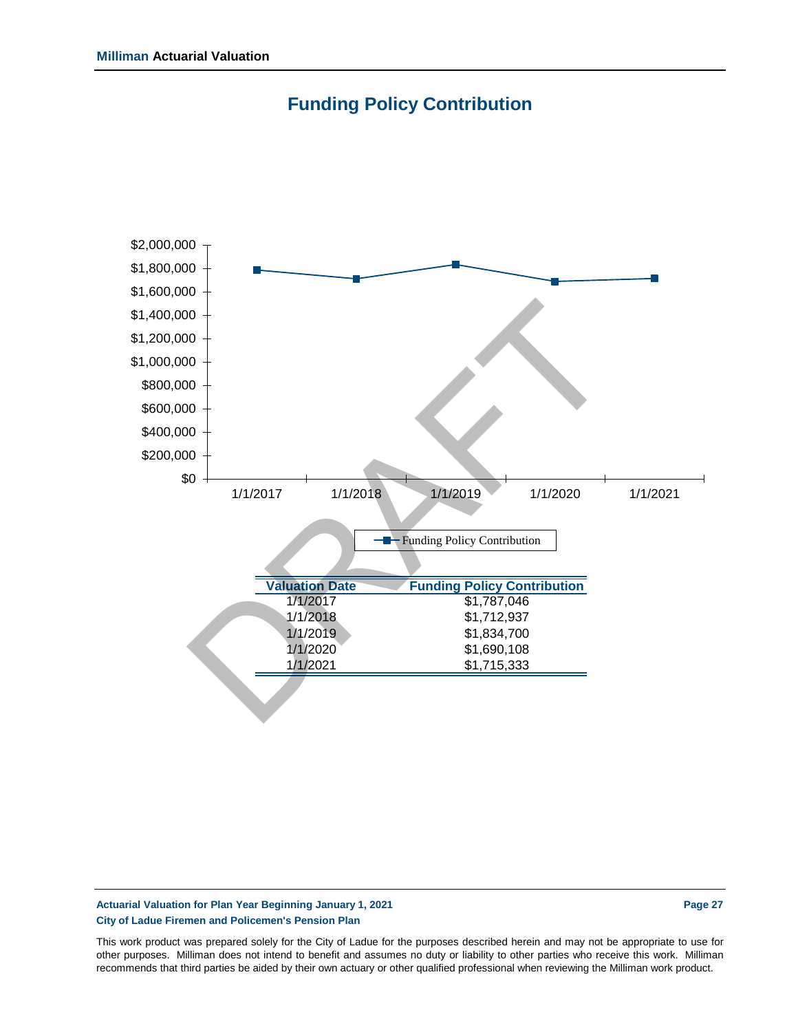



### **Actuarial Valuation for Plan Year Beginning January 1, 2021 Page 27 City of Ladue Firemen and Policemen's Pension Plan**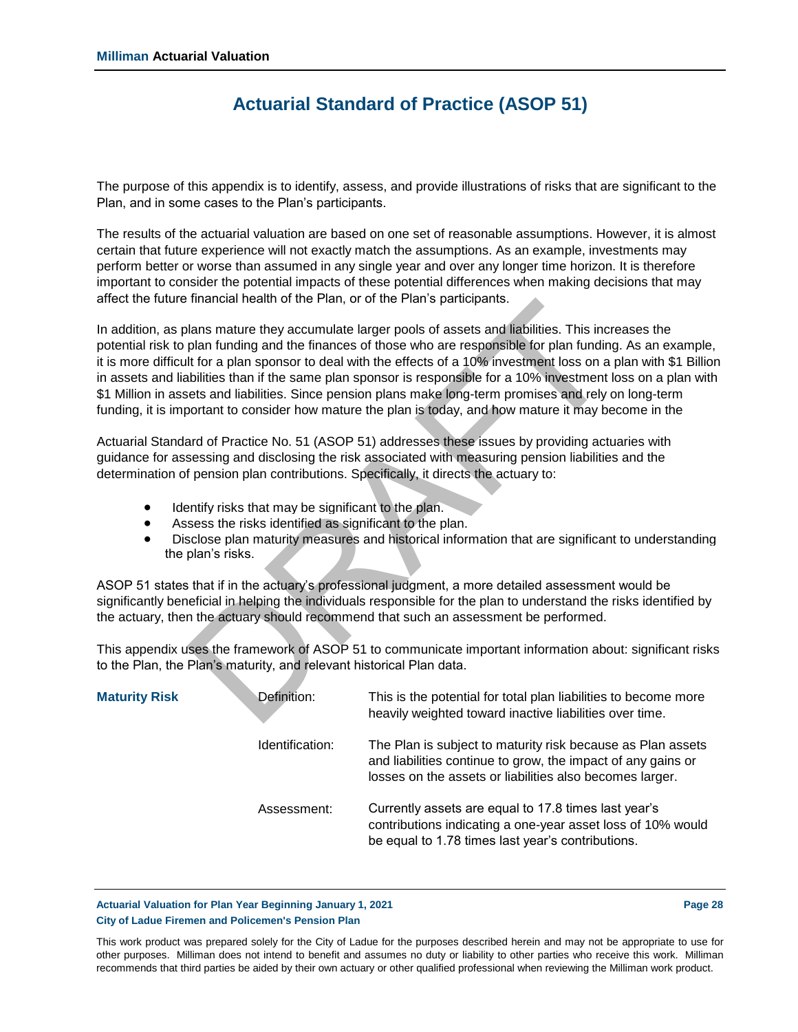### **Actuarial Standard of Practice (ASOP 51)**

The purpose of this appendix is to identify, assess, and provide illustrations of risks that are significant to the Plan, and in some cases to the Plan's participants.

The results of the actuarial valuation are based on one set of reasonable assumptions. However, it is almost certain that future experience will not exactly match the assumptions. As an example, investments may perform better or worse than assumed in any single year and over any longer time horizon. It is therefore important to consider the potential impacts of these potential differences when making decisions that may affect the future financial health of the Plan, or of the Plan's participants.

In addition, as plans mature they accumulate larger pools of assets and liabilities. This increases the potential risk to plan funding and the finances of those who are responsible for plan funding. As an example, it is more difficult for a plan sponsor to deal with the effects of a 10% investment loss on a plan with \$1 Billion in assets and liabilities than if the same plan sponsor is responsible for a 10% investment loss on a plan with \$1 Million in assets and liabilities. Since pension plans make long-term promises and rely on long-term funding, it is important to consider how mature the plan is today, and how mature it may become in the Infiancial neaturi of the Piatri, of of the Piatris participants.<br>
Ilans mature they accumulate larger pools of assets and liabilities. This include<br>
plan functing and the finances of those who are responsible for plan for

Actuarial Standard of Practice No. 51 (ASOP 51) addresses these issues by providing actuaries with guidance for assessing and disclosing the risk associated with measuring pension liabilities and the determination of pension plan contributions. Specifically, it directs the actuary to:

- Identify risks that may be significant to the plan.
- Assess the risks identified as significant to the plan.
- Disclose plan maturity measures and historical information that are significant to understanding the plan's risks.

ASOP 51 states that if in the actuary's professional judgment, a more detailed assessment would be significantly beneficial in helping the individuals responsible for the plan to understand the risks identified by the actuary, then the actuary should recommend that such an assessment be performed.

This appendix uses the framework of ASOP 51 to communicate important information about: significant risks to the Plan, the Plan's maturity, and relevant historical Plan data.

| <b>Maturity Risk</b> | Definition:     | This is the potential for total plan liabilities to become more<br>heavily weighted toward inactive liabilities over time.                                                              |
|----------------------|-----------------|-----------------------------------------------------------------------------------------------------------------------------------------------------------------------------------------|
|                      | Identification: | The Plan is subject to maturity risk because as Plan assets<br>and liabilities continue to grow, the impact of any gains or<br>losses on the assets or liabilities also becomes larger. |
|                      | Assessment:     | Currently assets are equal to 17.8 times last year's<br>contributions indicating a one-year asset loss of 10% would<br>be equal to 1.78 times last year's contributions.                |

**Actuarial Valuation for Plan Year Beginning January 1, 2021 Page 28 City of Ladue Firemen and Policemen's Pension Plan**